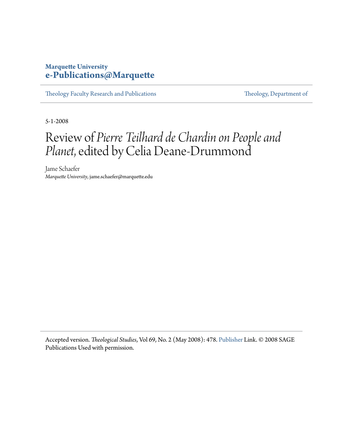## **Marquette University [e-Publications@Marquette](https://epublications.marquette.edu)**

[Theology Faculty Research and Publications](https://epublications.marquette.edu/theo_fac) [Theology, Department of](https://epublications.marquette.edu/Theology)

5-1-2008

## Review of *Pierre Teilhard de Chardin on People and Planet*, edited by Celia Deane-Drummond

Jame Schaefer *Marquette University*, jame.schaefer@marquette.edu

Accepted version. *Theological Studies*, Vol 69, No. 2 (May 2008): 478. [Publisher](http://journals.sagepub.com/toc/tsja/69/2) Link. © 2008 SAGE Publications Used with permission.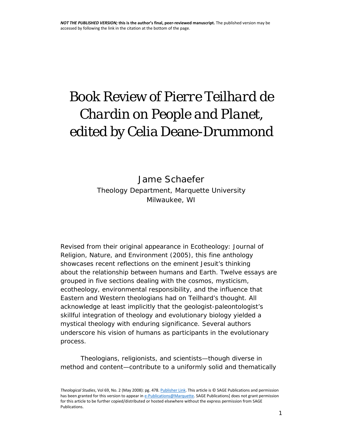## Book Review of *Pierre Teilhard de Chardin on People and Planet*, edited by Celia Deane-Drummond

Jame Schaefer *Theology Department, Marquette University Milwaukee, WI*

Revised from their original appearance in *Ecotheology: Journal of Religion, Nature, and Environment* (2005), this fine anthology showcases recent reflections on the eminent Jesuit's thinking about the relationship between humans and Earth. Twelve essays are grouped in five sections dealing with the cosmos, mysticism, ecotheology, environmental responsibility, and the influence that Eastern and Western theologians had on Teilhard's thought. All acknowledge at least implicitly that the geologist-paleontologist's skillful integration of theology and evolutionary biology yielded a mystical theology with enduring significance. Several authors underscore his vision of humans as participants in the evolutionary process.

Theologians, religionists, and scientists—though diverse in method and content—contribute to a uniformly solid and thematically

*Theological Studies*, Vol 69, No. 2 (May 2008): pg. 478[. Publisher](http://journals.sagepub.com/toc/tsja/69/2) Link. This article is © SAGE Publications and permission has been granted for this version to appear i[n e-Publications@Marquette.](http://epublications.marquette.edu/) SAGE Publications] does not grant permission for this article to be further copied/distributed or hosted elsewhere without the express permission from SAGE Publications.